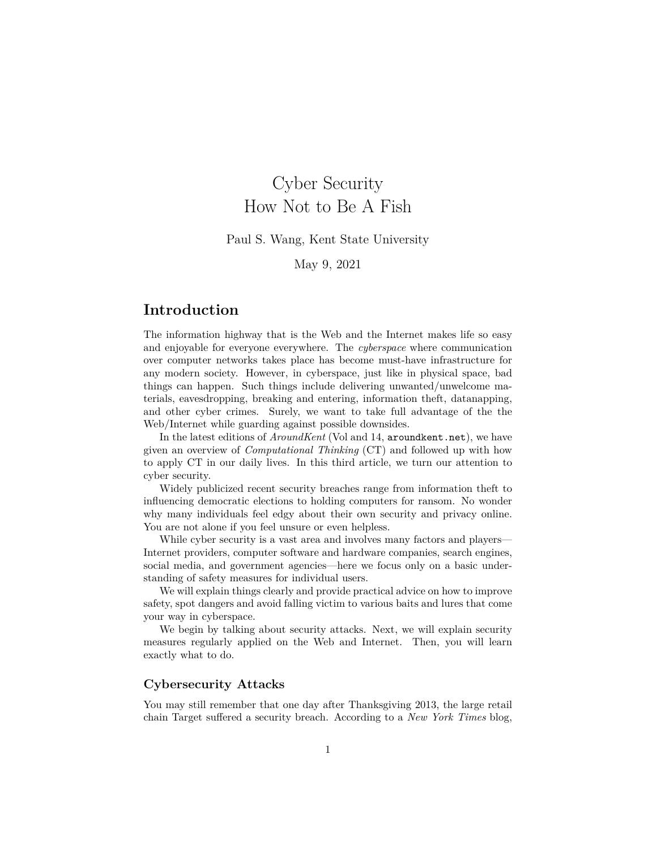# Cyber Security How Not to Be A Fish

Paul S. Wang, Kent State University

May 9, 2021

### **Introduction**

The information highway that is the Web and the Internet makes life so easy and enjoyable for everyone everywhere. The *cyberspace* where communication over computer networks takes place has become must-have infrastructure for any modern society. However, in cyberspace, just like in physical space, bad things can happen. Such things include delivering unwanted/unwelcome materials, eavesdropping, breaking and entering, information theft, datanapping, and other cyber crimes. Surely, we want to take full advantage of the the Web/Internet while guarding against possible downsides.

In the latest editions of *AroundKent* (Vol and 14, aroundkent.net), we have given an overview of *Computational Thinking* (CT) and followed up with how to apply CT in our daily lives. In this third article, we turn our attention to cyber security.

Widely publicized recent security breaches range from information theft to influencing democratic elections to holding computers for ransom. No wonder why many individuals feel edgy about their own security and privacy online. You are not alone if you feel unsure or even helpless.

While cyber security is a vast area and involves many factors and players— Internet providers, computer software and hardware companies, search engines, social media, and government agencies—here we focus only on a basic understanding of safety measures for individual users.

We will explain things clearly and provide practical advice on how to improve safety, spot dangers and avoid falling victim to various baits and lures that come your way in cyberspace.

We begin by talking about security attacks. Next, we will explain security measures regularly applied on the Web and Internet. Then, you will learn exactly what to do.

#### **Cybersecurity Attacks**

You may still remember that one day after Thanksgiving 2013, the large retail chain Target suffered a security breach. According to a *New York Times* blog,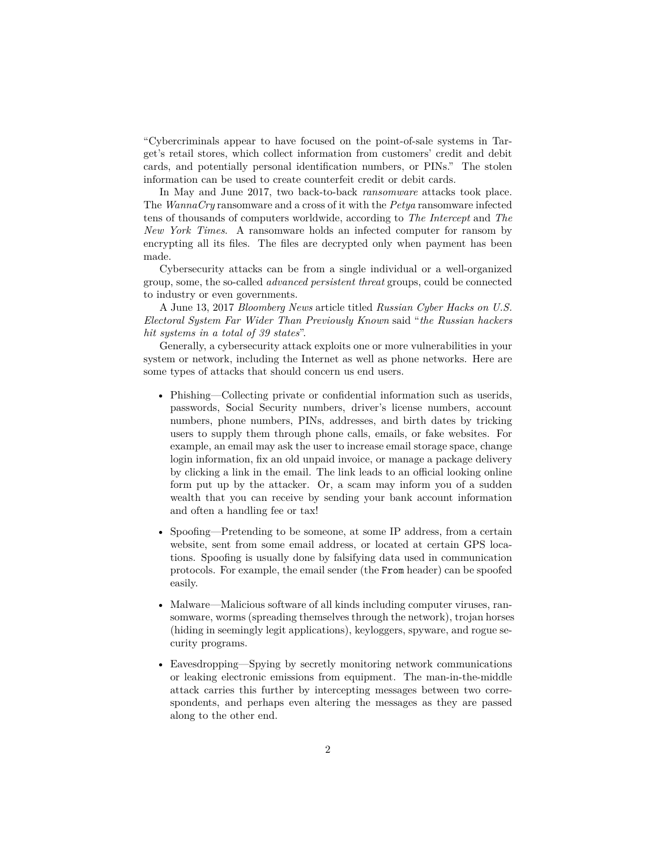"Cybercriminals appear to have focused on the point-of-sale systems in Target's retail stores, which collect information from customers' credit and debit cards, and potentially personal identification numbers, or PINs." The stolen information can be used to create counterfeit credit or debit cards.

In May and June 2017, two back-to-back *ransomware* attacks took place. The *WannaCry* ransomware and a cross of it with the *Petya* ransomware infected tens of thousands of computers worldwide, according to *The Intercept* and *The New York Times*. A ransomware holds an infected computer for ransom by encrypting all its files. The files are decrypted only when payment has been made.

Cybersecurity attacks can be from a single individual or a well-organized group, some, the so-called *advanced persistent threat* groups, could be connected to industry or even governments.

A June 13, 2017 *Bloomberg News* article titled *Russian Cyber Hacks on U.S. Electoral System Far Wider Than Previously Known* said "*the Russian hackers hit systems in a total of 39 states*".

Generally, a cybersecurity attack exploits one or more vulnerabilities in your system or network, including the Internet as well as phone networks. Here are some types of attacks that should concern us end users.

- Phishing—Collecting private or confidential information such as userids, passwords, Social Security numbers, driver's license numbers, account numbers, phone numbers, PINs, addresses, and birth dates by tricking users to supply them through phone calls, emails, or fake websites. For example, an email may ask the user to increase email storage space, change login information, fix an old unpaid invoice, or manage a package delivery by clicking a link in the email. The link leads to an official looking online form put up by the attacker. Or, a scam may inform you of a sudden wealth that you can receive by sending your bank account information and often a handling fee or tax!
- Spoofing—Pretending to be someone, at some IP address, from a certain website, sent from some email address, or located at certain GPS locations. Spoofing is usually done by falsifying data used in communication protocols. For example, the email sender (the From header) can be spoofed easily.
- Malware—Malicious software of all kinds including computer viruses, ransomware, worms (spreading themselves through the network), trojan horses (hiding in seemingly legit applications), keyloggers, spyware, and rogue security programs.
- Eavesdropping—Spying by secretly monitoring network communications or leaking electronic emissions from equipment. The man-in-the-middle attack carries this further by intercepting messages between two correspondents, and perhaps even altering the messages as they are passed along to the other end.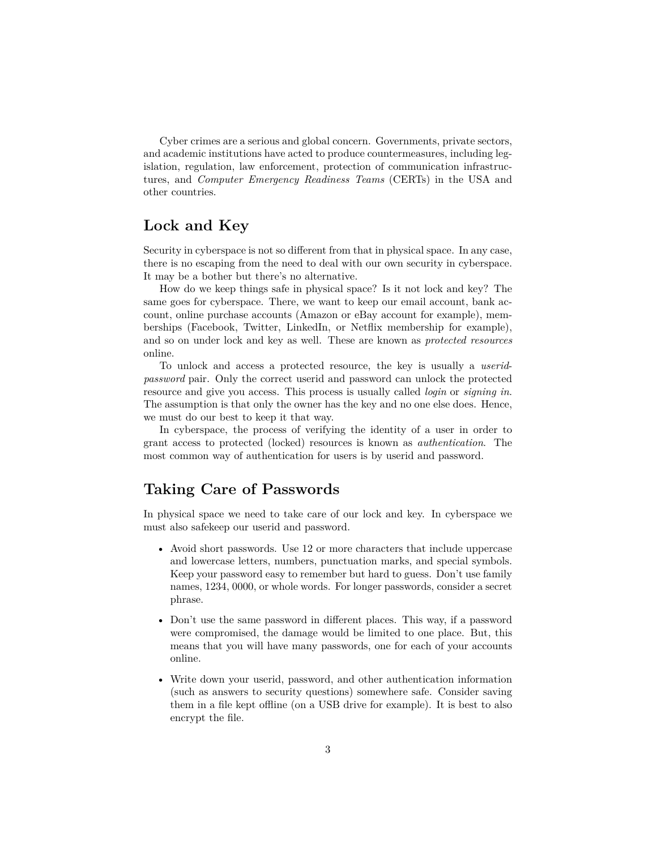Cyber crimes are a serious and global concern. Governments, private sectors, and academic institutions have acted to produce countermeasures, including legislation, regulation, law enforcement, protection of communication infrastructures, and *Computer Emergency Readiness Teams* (CERTs) in the USA and other countries.

### **Lock and Key**

Security in cyberspace is not so different from that in physical space. In any case, there is no escaping from the need to deal with our own security in cyberspace. It may be a bother but there's no alternative.

How do we keep things safe in physical space? Is it not lock and key? The same goes for cyberspace. There, we want to keep our email account, bank account, online purchase accounts (Amazon or eBay account for example), memberships (Facebook, Twitter, LinkedIn, or Netflix membership for example), and so on under lock and key as well. These are known as *protected resources* online.

To unlock and access a protected resource, the key is usually a *useridpassword* pair. Only the correct userid and password can unlock the protected resource and give you access. This process is usually called *login* or *signing in*. The assumption is that only the owner has the key and no one else does. Hence, we must do our best to keep it that way.

In cyberspace, the process of verifying the identity of a user in order to grant access to protected (locked) resources is known as *authentication*. The most common way of authentication for users is by userid and password.

### **Taking Care of Passwords**

In physical space we need to take care of our lock and key. In cyberspace we must also safekeep our userid and password.

- Avoid short passwords. Use 12 or more characters that include uppercase and lowercase letters, numbers, punctuation marks, and special symbols. Keep your password easy to remember but hard to guess. Don't use family names, 1234, 0000, or whole words. For longer passwords, consider a secret phrase.
- Don't use the same password in different places. This way, if a password were compromised, the damage would be limited to one place. But, this means that you will have many passwords, one for each of your accounts online.
- Write down your userid, password, and other authentication information (such as answers to security questions) somewhere safe. Consider saving them in a file kept offline (on a USB drive for example). It is best to also encrypt the file.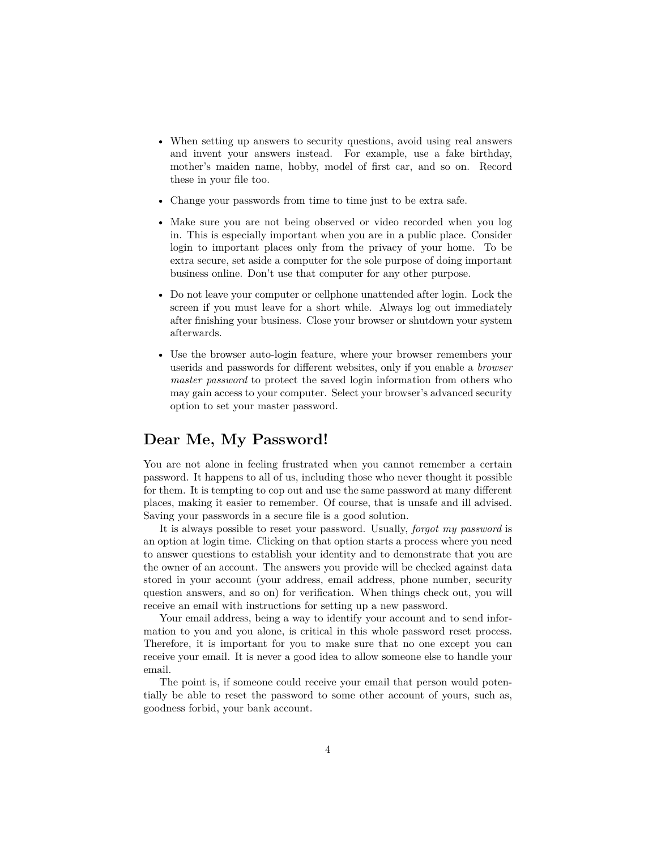- When setting up answers to security questions, avoid using real answers and invent your answers instead. For example, use a fake birthday, mother's maiden name, hobby, model of first car, and so on. Record these in your file too.
- Change your passwords from time to time just to be extra safe.
- Make sure you are not being observed or video recorded when you log in. This is especially important when you are in a public place. Consider login to important places only from the privacy of your home. To be extra secure, set aside a computer for the sole purpose of doing important business online. Don't use that computer for any other purpose.
- Do not leave your computer or cellphone unattended after login. Lock the screen if you must leave for a short while. Always log out immediately after finishing your business. Close your browser or shutdown your system afterwards.
- Use the browser auto-login feature, where your browser remembers your userids and passwords for different websites, only if you enable a *browser master password* to protect the saved login information from others who may gain access to your computer. Select your browser's advanced security option to set your master password.

### **Dear Me, My Password!**

You are not alone in feeling frustrated when you cannot remember a certain password. It happens to all of us, including those who never thought it possible for them. It is tempting to cop out and use the same password at many different places, making it easier to remember. Of course, that is unsafe and ill advised. Saving your passwords in a secure file is a good solution.

It is always possible to reset your password. Usually, *forgot my password* is an option at login time. Clicking on that option starts a process where you need to answer questions to establish your identity and to demonstrate that you are the owner of an account. The answers you provide will be checked against data stored in your account (your address, email address, phone number, security question answers, and so on) for verification. When things check out, you will receive an email with instructions for setting up a new password.

Your email address, being a way to identify your account and to send information to you and you alone, is critical in this whole password reset process. Therefore, it is important for you to make sure that no one except you can receive your email. It is never a good idea to allow someone else to handle your email.

The point is, if someone could receive your email that person would potentially be able to reset the password to some other account of yours, such as, goodness forbid, your bank account.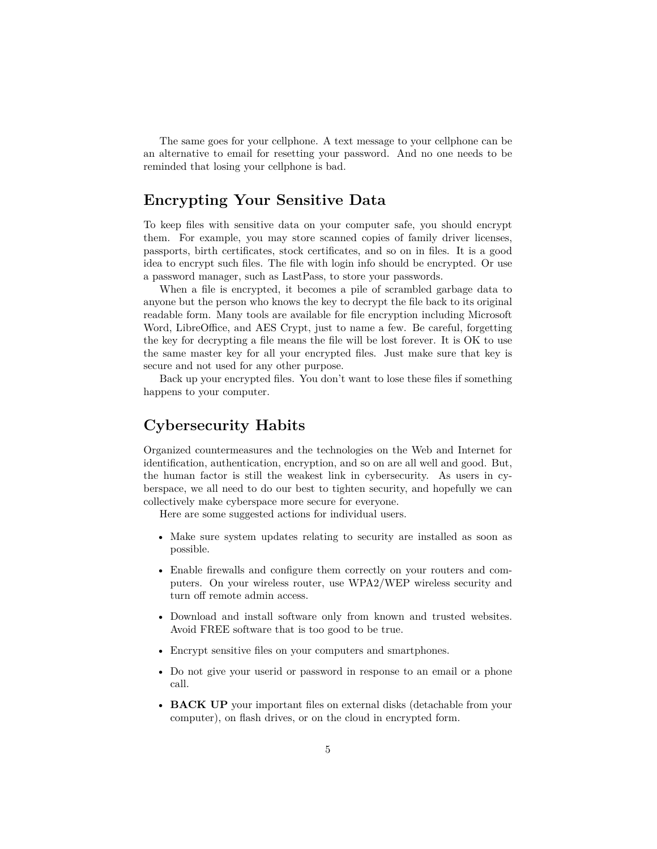The same goes for your cellphone. A text message to your cellphone can be an alternative to email for resetting your password. And no one needs to be reminded that losing your cellphone is bad.

## **Encrypting Your Sensitive Data**

To keep files with sensitive data on your computer safe, you should encrypt them. For example, you may store scanned copies of family driver licenses, passports, birth certificates, stock certificates, and so on in files. It is a good idea to encrypt such files. The file with login info should be encrypted. Or use a password manager, such as LastPass, to store your passwords.

When a file is encrypted, it becomes a pile of scrambled garbage data to anyone but the person who knows the key to decrypt the file back to its original readable form. Many tools are available for file encryption including Microsoft Word, LibreOffice, and AES Crypt, just to name a few. Be careful, forgetting the key for decrypting a file means the file will be lost forever. It is OK to use the same master key for all your encrypted files. Just make sure that key is secure and not used for any other purpose.

Back up your encrypted files. You don't want to lose these files if something happens to your computer.

### **Cybersecurity Habits**

Organized countermeasures and the technologies on the Web and Internet for identification, authentication, encryption, and so on are all well and good. But, the human factor is still the weakest link in cybersecurity. As users in cyberspace, we all need to do our best to tighten security, and hopefully we can collectively make cyberspace more secure for everyone.

Here are some suggested actions for individual users.

- Make sure system updates relating to security are installed as soon as possible.
- Enable firewalls and configure them correctly on your routers and computers. On your wireless router, use WPA2/WEP wireless security and turn off remote admin access.
- Download and install software only from known and trusted websites. Avoid FREE software that is too good to be true.
- Encrypt sensitive files on your computers and smartphones.
- Do not give your userid or password in response to an email or a phone call.
- **BACK UP** your important files on external disks (detachable from your computer), on flash drives, or on the cloud in encrypted form.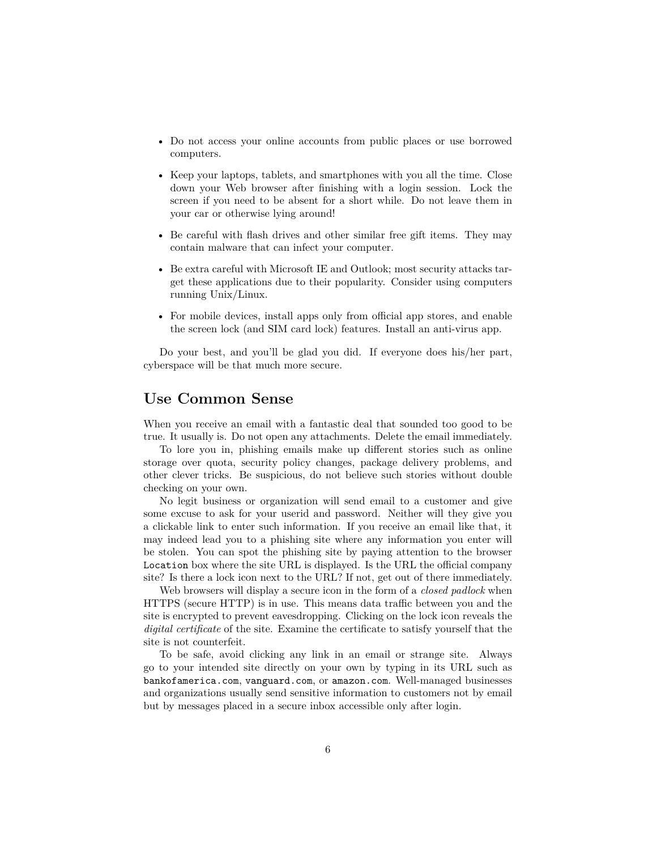- Do not access your online accounts from public places or use borrowed computers.
- Keep your laptops, tablets, and smartphones with you all the time. Close down your Web browser after finishing with a login session. Lock the screen if you need to be absent for a short while. Do not leave them in your car or otherwise lying around!
- Be careful with flash drives and other similar free gift items. They may contain malware that can infect your computer.
- Be extra careful with Microsoft IE and Outlook; most security attacks target these applications due to their popularity. Consider using computers running Unix/Linux.
- For mobile devices, install apps only from official app stores, and enable the screen lock (and SIM card lock) features. Install an anti-virus app.

Do your best, and you'll be glad you did. If everyone does his/her part, cyberspace will be that much more secure.

#### **Use Common Sense**

When you receive an email with a fantastic deal that sounded too good to be true. It usually is. Do not open any attachments. Delete the email immediately.

To lore you in, phishing emails make up different stories such as online storage over quota, security policy changes, package delivery problems, and other clever tricks. Be suspicious, do not believe such stories without double checking on your own.

No legit business or organization will send email to a customer and give some excuse to ask for your userid and password. Neither will they give you a clickable link to enter such information. If you receive an email like that, it may indeed lead you to a phishing site where any information you enter will be stolen. You can spot the phishing site by paying attention to the browser Location box where the site URL is displayed. Is the URL the official company site? Is there a lock icon next to the URL? If not, get out of there immediately.

Web browsers will display a secure icon in the form of a *closed padlock* when HTTPS (secure HTTP) is in use. This means data traffic between you and the site is encrypted to prevent eavesdropping. Clicking on the lock icon reveals the *digital certificate* of the site. Examine the certificate to satisfy yourself that the site is not counterfeit.

To be safe, avoid clicking any link in an email or strange site. Always go to your intended site directly on your own by typing in its URL such as bankofamerica.com, vanguard.com, or amazon.com. Well-managed businesses and organizations usually send sensitive information to customers not by email but by messages placed in a secure inbox accessible only after login.